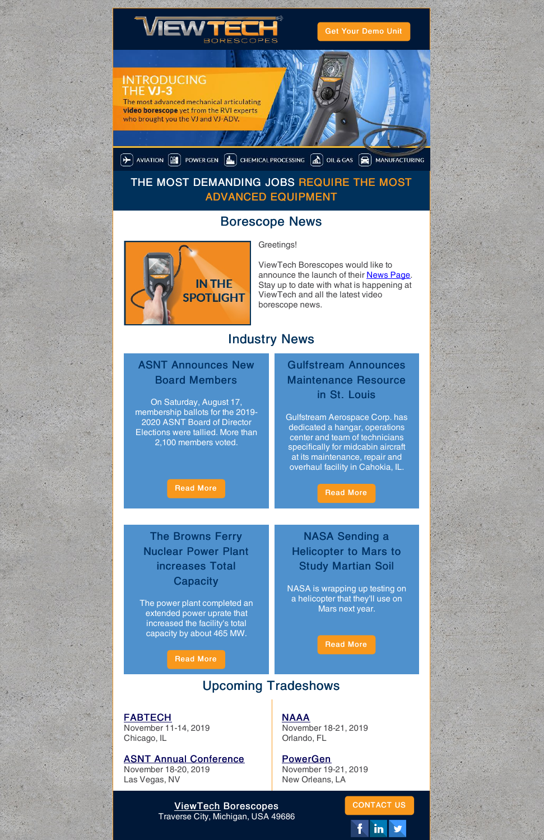

Get Your [Demo](https://www.viewtech.com/borescope-demo-offer/?utm_source=newsletter&utm_medium=email&utm_campaign=newsletter1119) Unit

#### **INTRODUCING IE VJ-3**

The most advanced mechanical articulating video borescope yet from the RVI experts who brought you the VJ and VJ-ADV.

 $\left(\blacktriangleright\right)$  aviation  $\left(\widehat{m}\right)$  power gen  $\left(\frac{n}{m}\right)$  chemical processing  $\left(\widehat{m}\right)$  oil & gas  $\left(\widehat{m}\right)$  manufacturing

### THE MOST DEMANDING JOBS REQUIRE THE MOST ADVANCED EQUIPMENT

## Borescope News



Greetings!

ViewTech Borescopes would like to announce the launch of their **[News](https://www.viewtech.com/news/?utm_source=newsletter&utm_medium=email&utm_campaign=newsletter1119) Page**. Stay up to date with what is happening at ViewTech and all the latest video borescope news.

# Industry News

### ASNT Announces New Board Members

The Browns Ferry Nuclear Power Plant increases Total **Capacity** 

On Saturday, August 17, membership ballots for the 2019- 2020 ASNT Board of Director Elections were tallied. More than 2,100 members voted.

#### [Read](https://asnt.org/MinorSiteSections/ASNTNews/2019/2019 ASNT Election Results) More

### Gulfstream Announces Maintenance Resource in St. Louis

Gulfstream Aerospace Corp. has dedicated a hangar, operations center and team of technicians specifically for midcabin aircraft at its maintenance, repair and overhaul facility in Cahokia, IL.

#### [Read](https://www.avm-mag.com/gulfstream-establishes-dedicated-midcabin-maintenance-resources-at-st-louis-area-mro/) More

The power plant completed an extended power uprate that

increased the facility's total capacity by about 465 MW.

[Read](https://www.powermag.com/extended-power-uprate-is-a-winning-strategy-for-nuclear-plant/) More

NASA Sending a Helicopter to Mars to Study Martian Soil

NASA is wrapping up testing on a helicopter that they'll use on Mars next year.

[Read](https://www.10tv.com/article/nasa-sending-helicopter-mars-study-martian-soil-2019-nov) More



# Upcoming Tradeshows

#### [FABTECH](https://www.viewtech.com/about-us/tradeshows/fabtech-2019/?utm_source=newsletter&utm_medium=email&utm_campaign=newsletter1119)

November 11-14, 2019 Chicago, IL

#### ASNT Annual [Conference](https://www.viewtech.com/about-us/tradeshows/asnt-annual-conference-2019/?utm_source=newsletter&utm_medium=email&utm_campaign=newsletter1119)

November 18-20, 2019 Las Vegas, NV

[NAAA](https://www.viewtech.com/about-us/tradeshows/naaa-2019/?utm_source=newsletter&utm_medium=email&utm_campaign=newsletter1119) November 18-21, 2019 Orlando, FL

[PowerGen](https://www.viewtech.com/about-us/tradeshows/powergen-international-2019/?utm_source=newsletter&utm_medium=email&utm_campaign=newsletter1119) November 19-21, 2019 New Orleans, LA

[ViewTech](https://www.viewtech.com/?utm_source=newsletter&utm_medium=email&utm_campaign=newsletter1119) Borescopes Traverse City, Michigan, USA 49686